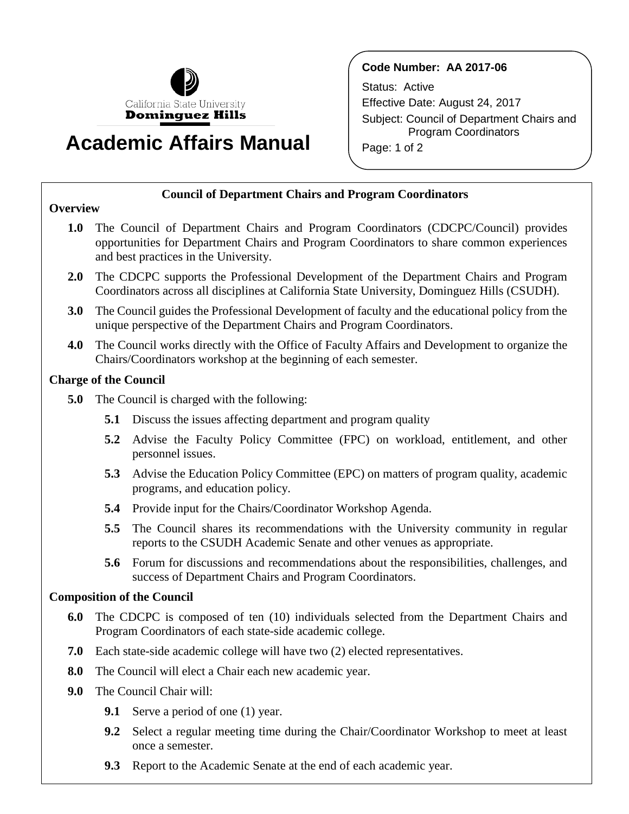

# **Academic Affairs Manual**

## **Code Number: AA 2017-06**

Status: Active Effective Date: August 24, 2017 Subject: Council of Department Chairs and Program Coordinators Page: 1 of 2

## **Council of Department Chairs and Program Coordinators**

## **Overview**

- **1.0** The Council of Department Chairs and Program Coordinators (CDCPC/Council) provides opportunities for Department Chairs and Program Coordinators to share common experiences and best practices in the University.
- **2.0** The CDCPC supports the Professional Development of the Department Chairs and Program Coordinators across all disciplines at California State University, Dominguez Hills (CSUDH).
- **3.0** The Council guides the Professional Development of faculty and the educational policy from the unique perspective of the Department Chairs and Program Coordinators.
- **4.0** The Council works directly with the Office of Faculty Affairs and Development to organize the Chairs/Coordinators workshop at the beginning of each semester.

## **Charge of the Council**

- **5.0** The Council is charged with the following:
	- **5.1** Discuss the issues affecting department and program quality
	- **5.2** Advise the Faculty Policy Committee (FPC) on workload, entitlement, and other personnel issues.
	- **5.3** Advise the Education Policy Committee (EPC) on matters of program quality, academic programs, and education policy.
	- **5.4** Provide input for the Chairs/Coordinator Workshop Agenda.
	- **5.5** The Council shares its recommendations with the University community in regular reports to the CSUDH Academic Senate and other venues as appropriate.
	- **5.6** Forum for discussions and recommendations about the responsibilities, challenges, and success of Department Chairs and Program Coordinators.

## **Composition of the Council**

- **6.0** The CDCPC is composed of ten (10) individuals selected from the Department Chairs and Program Coordinators of each state-side academic college.
- **7.0** Each state-side academic college will have two (2) elected representatives.
- **8.0** The Council will elect a Chair each new academic year.
- **9.0** The Council Chair will:
	- **9.1** Serve a period of one (1) year.
	- **9.2** Select a regular meeting time during the Chair/Coordinator Workshop to meet at least once a semester.
	- **9.3** Report to the Academic Senate at the end of each academic year.